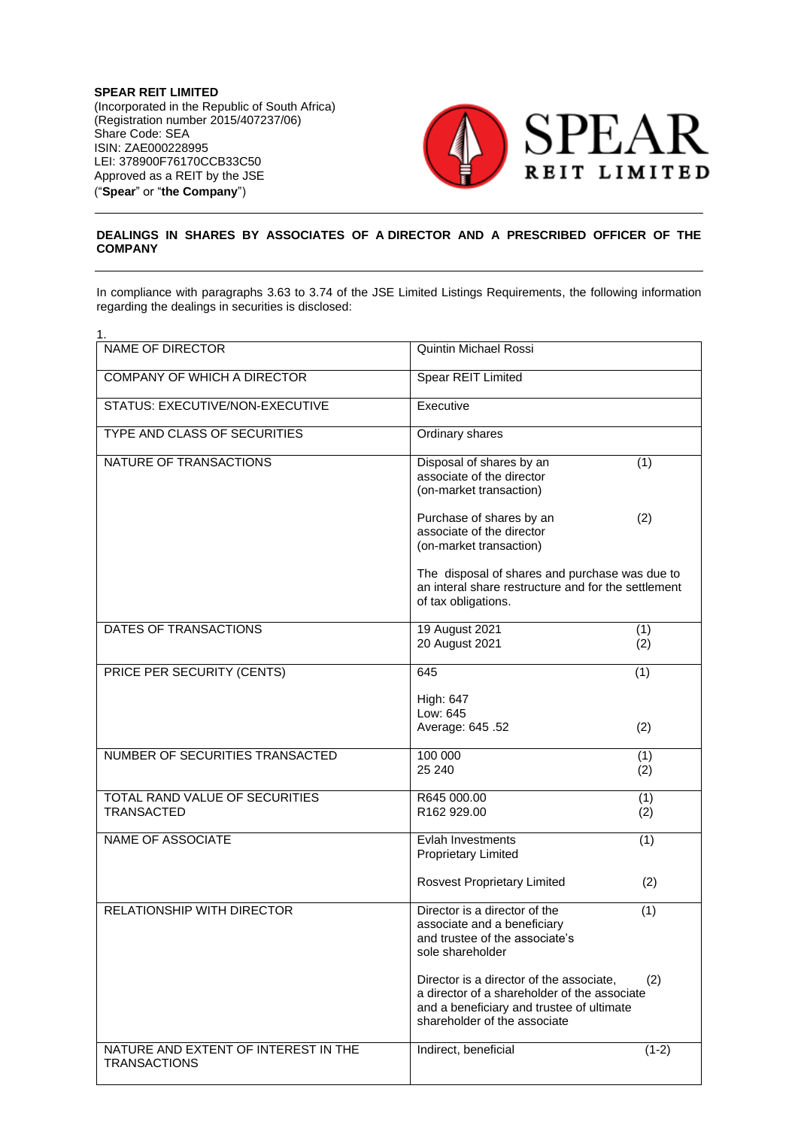**SPEAR REIT LIMITED** (Incorporated in the Republic of South Africa) (Registration number 2015/407237/06) Share Code: SEA ISIN: ZAE000228995 LEI: 378900F76170CCB33C50 Approved as a REIT by the JSE ("**Spear**" or "**the Company**")



## **DEALINGS IN SHARES BY ASSOCIATES OF A DIRECTOR AND A PRESCRIBED OFFICER OF THE COMPANY**

In compliance with paragraphs 3.63 to 3.74 of the JSE Limited Listings Requirements, the following information regarding the dealings in securities is disclosed:

| 1.                                                          |                                                                                                                                                                       |            |
|-------------------------------------------------------------|-----------------------------------------------------------------------------------------------------------------------------------------------------------------------|------------|
| <b>NAME OF DIRECTOR</b>                                     | <b>Quintin Michael Rossi</b>                                                                                                                                          |            |
| <b>COMPANY OF WHICH A DIRECTOR</b>                          | Spear REIT Limited                                                                                                                                                    |            |
| STATUS: EXECUTIVE/NON-EXECUTIVE                             | Executive                                                                                                                                                             |            |
| <b>TYPE AND CLASS OF SECURITIES</b>                         | Ordinary shares                                                                                                                                                       |            |
| NATURE OF TRANSACTIONS                                      | Disposal of shares by an<br>associate of the director<br>(on-market transaction)                                                                                      | (1)        |
|                                                             | Purchase of shares by an<br>associate of the director<br>(on-market transaction)                                                                                      | (2)        |
|                                                             | The disposal of shares and purchase was due to<br>an interal share restructure and for the settlement<br>of tax obligations.                                          |            |
| DATES OF TRANSACTIONS                                       | 19 August 2021<br>20 August 2021                                                                                                                                      | (1)<br>(2) |
| PRICE PER SECURITY (CENTS)                                  | 645                                                                                                                                                                   | (1)        |
|                                                             | High: 647<br>Low: 645<br>Average: 645.52                                                                                                                              | (2)        |
| NUMBER OF SECURITIES TRANSACTED                             | 100 000<br>25 240                                                                                                                                                     | (1)<br>(2) |
| TOTAL RAND VALUE OF SECURITIES<br><b>TRANSACTED</b>         | R645 000.00<br>R162 929.00                                                                                                                                            | (1)<br>(2) |
| NAME OF ASSOCIATE                                           | Evlah Investments<br><b>Proprietary Limited</b>                                                                                                                       | (1)        |
|                                                             | <b>Rosvest Proprietary Limited</b>                                                                                                                                    | (2)        |
| <b>RELATIONSHIP WITH DIRECTOR</b>                           | Director is a director of the<br>associate and a beneficiary<br>and trustee of the associate's<br>sole shareholder                                                    | (1)        |
|                                                             | Director is a director of the associate,<br>a director of a shareholder of the associate<br>and a beneficiary and trustee of ultimate<br>shareholder of the associate | (2)        |
| NATURE AND EXTENT OF INTEREST IN THE<br><b>TRANSACTIONS</b> | Indirect, beneficial                                                                                                                                                  | $(1-2)$    |